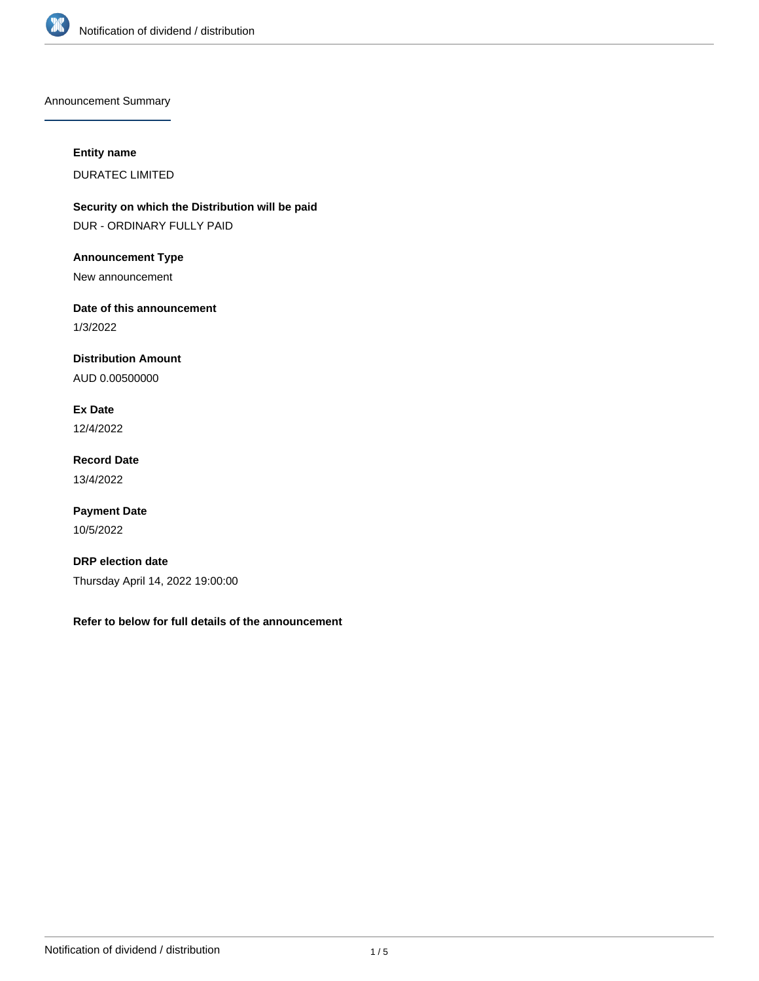

Announcement Summary

## **Entity name**

DURATEC LIMITED

**Security on which the Distribution will be paid** DUR - ORDINARY FULLY PAID

**Announcement Type**

New announcement

**Date of this announcement**

1/3/2022

**Distribution Amount**

AUD 0.00500000

**Ex Date** 12/4/2022

**Record Date** 13/4/2022

**Payment Date** 10/5/2022

**DRP election date** Thursday April 14, 2022 19:00:00

**Refer to below for full details of the announcement**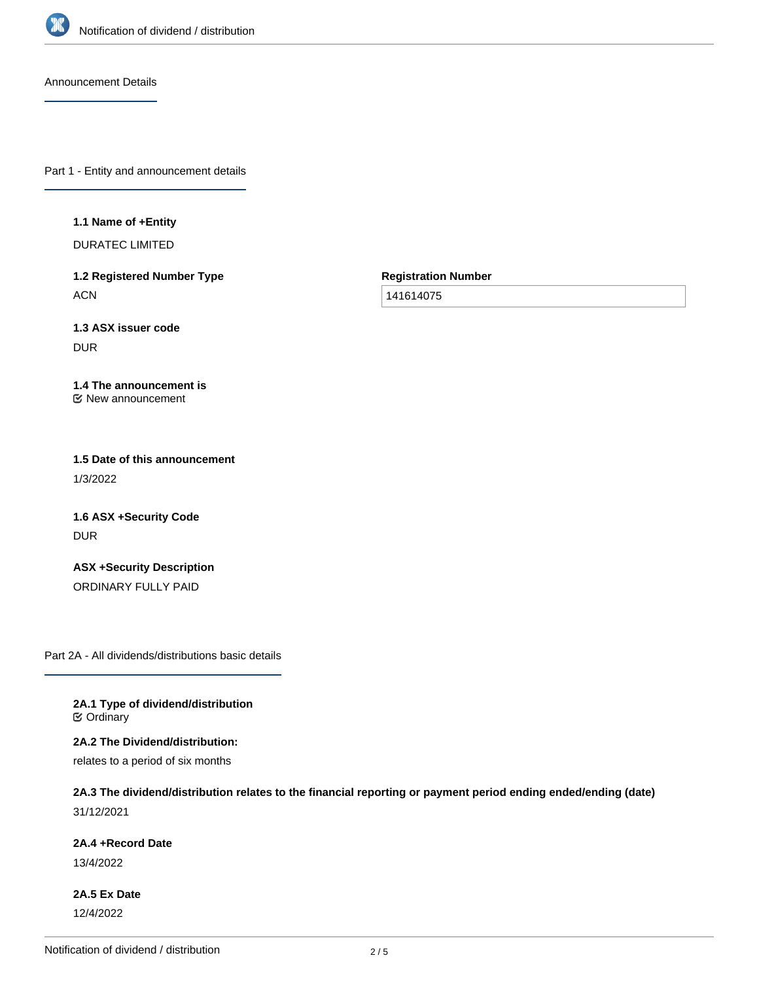

Announcement Details

Part 1 - Entity and announcement details

#### **1.1 Name of +Entity**

DURATEC LIMITED

**1.2 Registered Number Type ACN** 

**Registration Number**

141614075

**1.3 ASX issuer code** DUR

#### **1.4 The announcement is** New announcement

**1.5 Date of this announcement** 1/3/2022

**1.6 ASX +Security Code** DUR

**ASX +Security Description** ORDINARY FULLY PAID

Part 2A - All dividends/distributions basic details

**2A.1 Type of dividend/distribution C** Ordinary

**2A.2 The Dividend/distribution:**

relates to a period of six months

# **2A.3 The dividend/distribution relates to the financial reporting or payment period ending ended/ending (date)**

31/12/2021

## **2A.4 +Record Date**

13/4/2022

**2A.5 Ex Date** 12/4/2022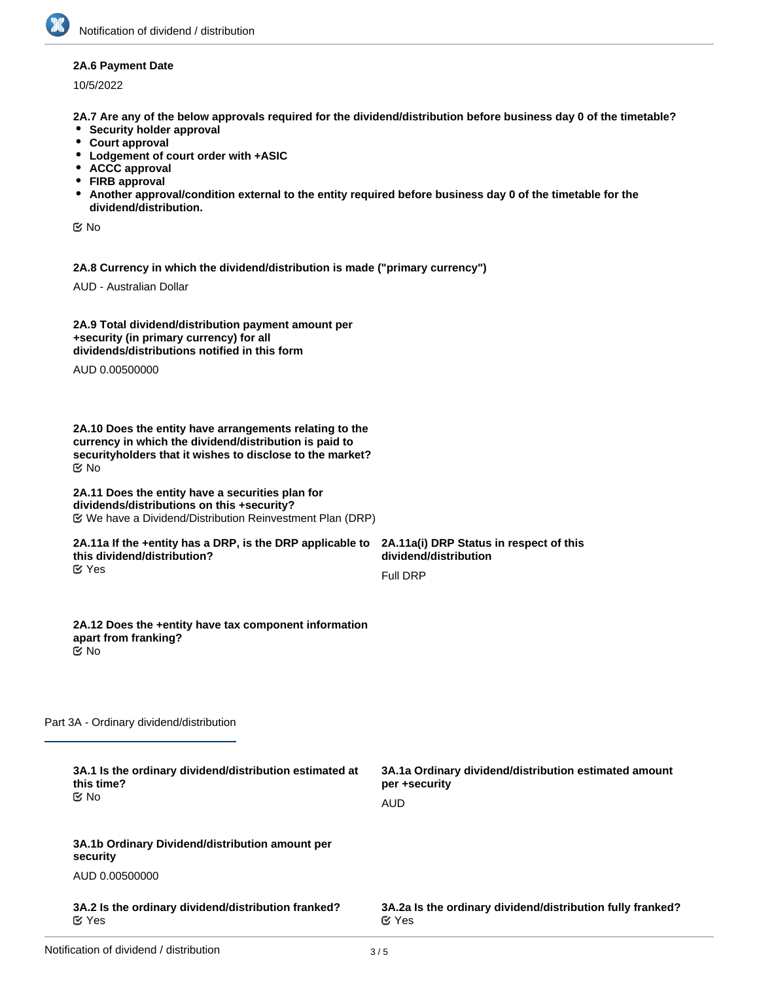### **2A.6 Payment Date**

10/5/2022

**2A.7 Are any of the below approvals required for the dividend/distribution before business day 0 of the timetable?**

- **•** Security holder approval
- **Court approval**
- **Lodgement of court order with +ASIC**
- **ACCC approval**
- **FIRB approval**
- **Another approval/condition external to the entity required before business day 0 of the timetable for the dividend/distribution.**

No

**2A.8 Currency in which the dividend/distribution is made ("primary currency")**

AUD - Australian Dollar

| 2A.9 Total dividend/distribution payment amount per |  |
|-----------------------------------------------------|--|
| +security (in primary currency) for all             |  |
| dividends/distributions notified in this form       |  |

AUD 0.00500000

**2A.10 Does the entity have arrangements relating to the currency in which the dividend/distribution is paid to securityholders that it wishes to disclose to the market?** No

#### **2A.11 Does the entity have a securities plan for dividends/distributions on this +security?** We have a Dividend/Distribution Reinvestment Plan (DRP)

#### **2A.11a If the +entity has a DRP, is the DRP applicable to this dividend/distribution?** Yes

**2A.11a(i) DRP Status in respect of this dividend/distribution** Full DRP

#### **2A.12 Does the +entity have tax component information apart from franking?** No

Part 3A - Ordinary dividend/distribution

| 3A.1 Is the ordinary dividend/distribution estimated at<br>this time?<br>় No | 3A.1a Ordinary dividend/distribution estimated amount<br>per +security<br>AUD |
|-------------------------------------------------------------------------------|-------------------------------------------------------------------------------|
| 3A.1b Ordinary Dividend/distribution amount per<br>security                   |                                                                               |
| AUD 0.00500000                                                                |                                                                               |
| 3A.2 Is the ordinary dividend/distribution franked?<br>$\alpha$ Yes           | 3A.2a Is the ordinary dividend/distribution fully franked?<br>$\alpha$ Yes    |
|                                                                               |                                                                               |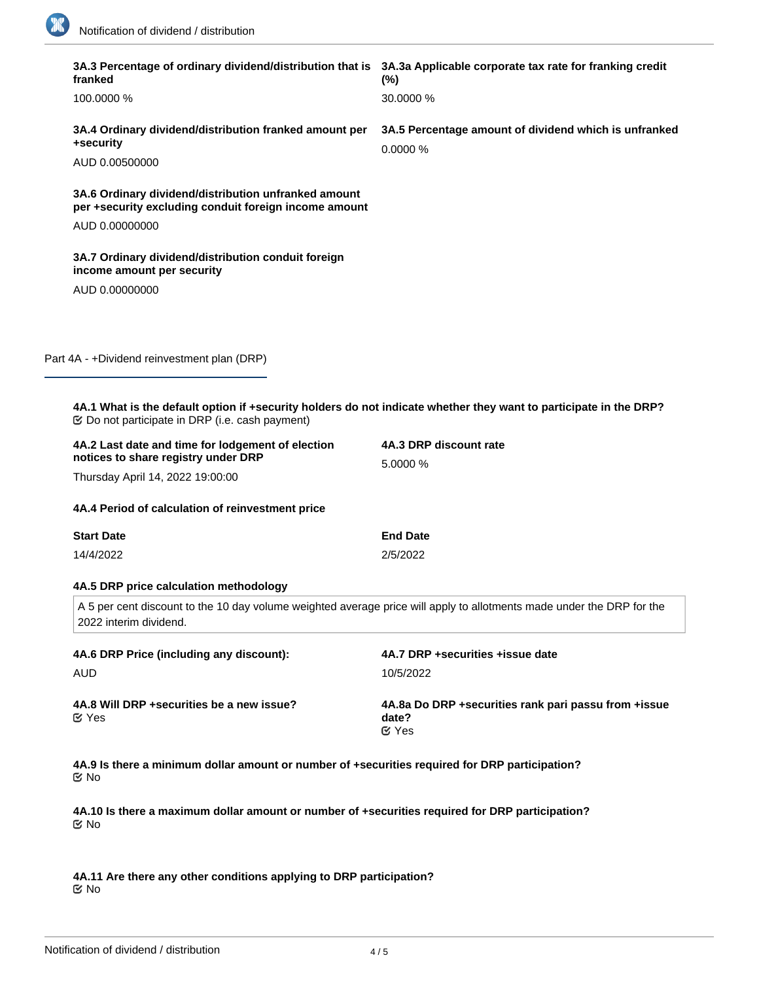18

| franked                                                                                                                                         | 3A.3 Percentage of ordinary dividend/distribution that is 3A.3a Applicable corporate tax rate for franking credit<br>$(\%)$ |  |  |
|-------------------------------------------------------------------------------------------------------------------------------------------------|-----------------------------------------------------------------------------------------------------------------------------|--|--|
| 100,0000 %                                                                                                                                      | 30.0000 %                                                                                                                   |  |  |
| 3A.4 Ordinary dividend/distribution franked amount per<br>+security                                                                             | 3A.5 Percentage amount of dividend which is unfranked<br>0.0000%                                                            |  |  |
| AUD 0.00500000                                                                                                                                  |                                                                                                                             |  |  |
| 3A.6 Ordinary dividend/distribution unfranked amount<br>per +security excluding conduit foreign income amount                                   |                                                                                                                             |  |  |
| AUD 0.00000000                                                                                                                                  |                                                                                                                             |  |  |
| 3A.7 Ordinary dividend/distribution conduit foreign<br>income amount per security                                                               |                                                                                                                             |  |  |
| AUD 0.00000000                                                                                                                                  |                                                                                                                             |  |  |
|                                                                                                                                                 |                                                                                                                             |  |  |
| Part 4A - +Dividend reinvestment plan (DRP)                                                                                                     |                                                                                                                             |  |  |
|                                                                                                                                                 |                                                                                                                             |  |  |
| 4A.1 What is the default option if +security holders do not indicate whether they want to participate in the DRP?                               |                                                                                                                             |  |  |
| 4A.2 Last date and time for lodgement of election<br>notices to share registry under DRP                                                        | 4A.3 DRP discount rate<br>5.0000 %                                                                                          |  |  |
| Thursday April 14, 2022 19:00:00                                                                                                                |                                                                                                                             |  |  |
| 4A.4 Period of calculation of reinvestment price                                                                                                |                                                                                                                             |  |  |
| <b>Start Date</b>                                                                                                                               | <b>End Date</b>                                                                                                             |  |  |
| 14/4/2022                                                                                                                                       | 2/5/2022                                                                                                                    |  |  |
| 4A.5 DRP price calculation methodology                                                                                                          |                                                                                                                             |  |  |
| A 5 per cent discount to the 10 day volume weighted average price will apply to allotments made under the DRP for the<br>2022 interim dividend. |                                                                                                                             |  |  |
| 4A.6 DRP Price (including any discount):                                                                                                        | 4A.7 DRP +securities +issue date                                                                                            |  |  |
| <b>AUD</b>                                                                                                                                      | 10/5/2022                                                                                                                   |  |  |
| 4A.8 Will DRP +securities be a new issue?<br>$\mathfrak{C}$ Yes                                                                                 | 4A.8a Do DRP + securities rank pari passu from + issue<br>date?<br>$\mathfrak{C}$ Yes                                       |  |  |
| 4A.9 Is there a minimum dollar amount or number of +securities required for DRP participation?<br>় No                                          |                                                                                                                             |  |  |
| 4A.10 Is there a maximum dollar amount or number of +securities required for DRP participation?                                                 |                                                                                                                             |  |  |
|                                                                                                                                                 |                                                                                                                             |  |  |

**4A.11 Are there any other conditions applying to DRP participation?** No